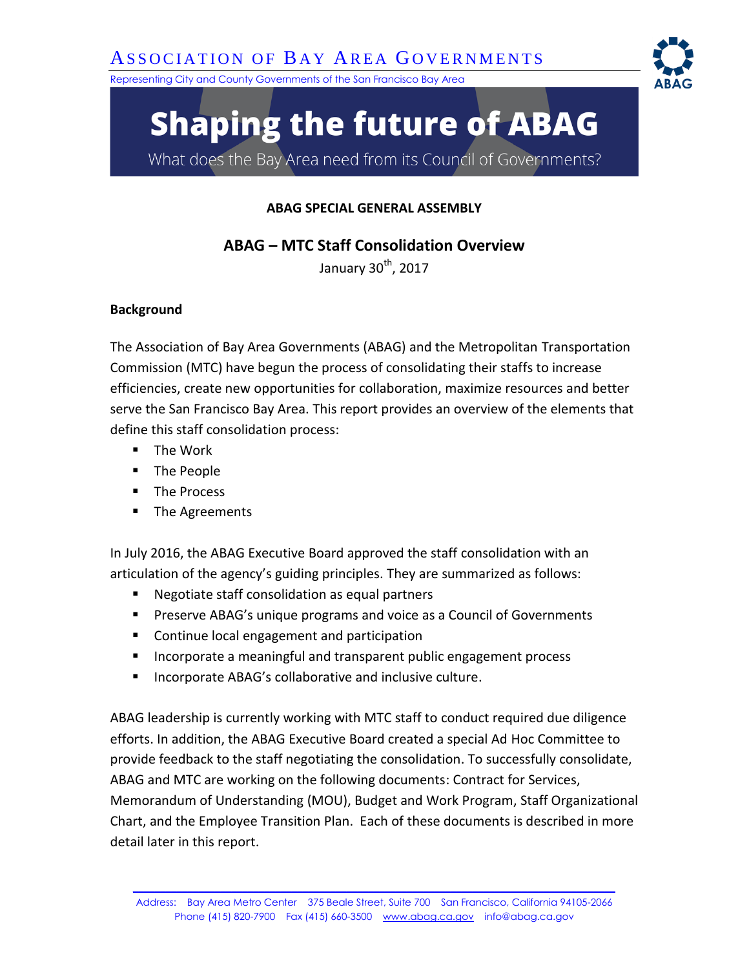Representing City and County Governments of the San Francisco Bay Area

# **Shaping the future of ABAG**

What does the Bay Area need from its Council of Governments?

## **ABAG SPECIAL GENERAL ASSEMBLY**

**ABAG – MTC Staff Consolidation Overview** 

January  $30<sup>th</sup>$ , 2017

### **Background**

The Association of Bay Area Governments (ABAG) and the Metropolitan Transportation Commission (MTC) have begun the process of consolidating their staffs to increase efficiencies, create new opportunities for collaboration, maximize resources and better serve the San Francisco Bay Area. This report provides an overview of the elements that define this staff consolidation process:

- The Work
- **The People**
- **The Process**
- **The Agreements**

In July 2016, the ABAG Executive Board approved the staff consolidation with an articulation of the agency's guiding principles. They are summarized as follows:

- Negotiate staff consolidation as equal partners
- **Preserve ABAG's unique programs and voice as a Council of Governments**
- **Continue local engagement and participation**
- **Incorporate a meaningful and transparent public engagement process**
- **Incorporate ABAG's collaborative and inclusive culture.**

ABAG leadership is currently working with MTC staff to conduct required due diligence efforts. In addition, the ABAG Executive Board created a special Ad Hoc Committee to provide feedback to the staff negotiating the consolidation. To successfully consolidate, ABAG and MTC are working on the following documents: Contract for Services, Memorandum of Understanding (MOU), Budget and Work Program, Staff Organizational Chart, and the Employee Transition Plan. Each of these documents is described in more detail later in this report.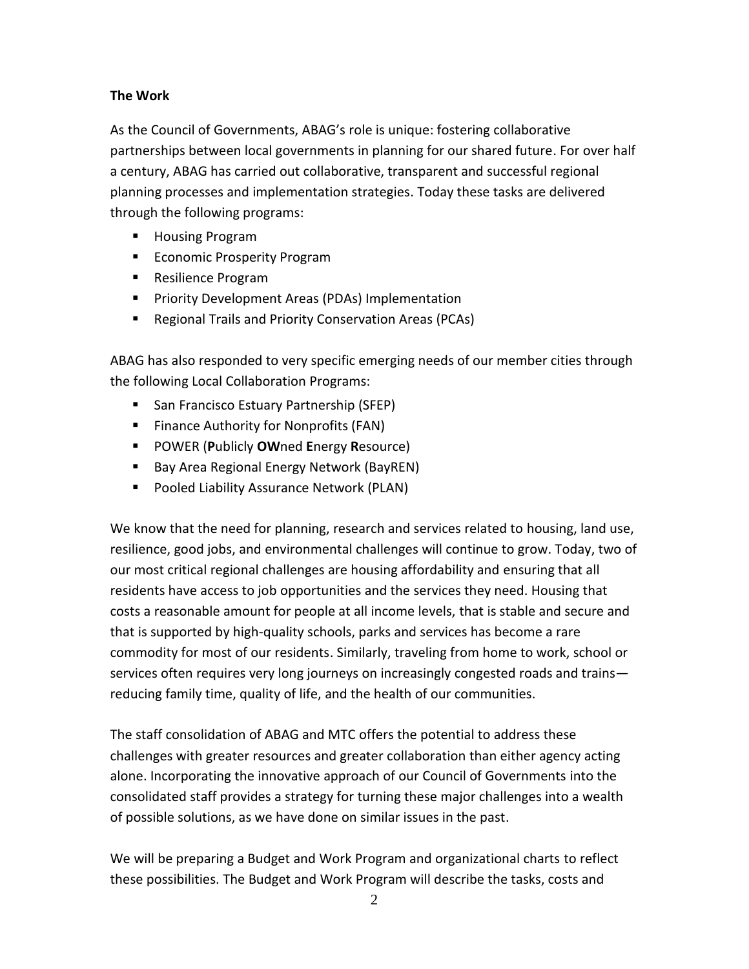### **The Work**

As the Council of Governments, ABAG's role is unique: fostering collaborative partnerships between local governments in planning for our shared future. For over half a century, ABAG has carried out collaborative, transparent and successful regional planning processes and implementation strategies. Today these tasks are delivered through the following programs:

- **Housing Program**
- **Economic Prosperity Program**
- Resilience Program
- **Priority Development Areas (PDAs) Implementation**
- Regional Trails and Priority Conservation Areas (PCAs)

ABAG has also responded to very specific emerging needs of our member cities through the following Local Collaboration Programs:

- **San Francisco Estuary Partnership (SFEP)**
- **Finance Authority for Nonprofits (FAN)**
- POWER (**P**ublicly **OW**ned **E**nergy **R**esource)
- Bay Area Regional Energy Network (BayREN)
- Pooled Liability Assurance Network (PLAN)

We know that the need for planning, research and services related to housing, land use, resilience, good jobs, and environmental challenges will continue to grow. Today, two of our most critical regional challenges are housing affordability and ensuring that all residents have access to job opportunities and the services they need. Housing that costs a reasonable amount for people at all income levels, that is stable and secure and that is supported by high-quality schools, parks and services has become a rare commodity for most of our residents. Similarly, traveling from home to work, school or services often requires very long journeys on increasingly congested roads and trains reducing family time, quality of life, and the health of our communities.

The staff consolidation of ABAG and MTC offers the potential to address these challenges with greater resources and greater collaboration than either agency acting alone. Incorporating the innovative approach of our Council of Governments into the consolidated staff provides a strategy for turning these major challenges into a wealth of possible solutions, as we have done on similar issues in the past.

We will be preparing a Budget and Work Program and organizational charts to reflect these possibilities. The Budget and Work Program will describe the tasks, costs and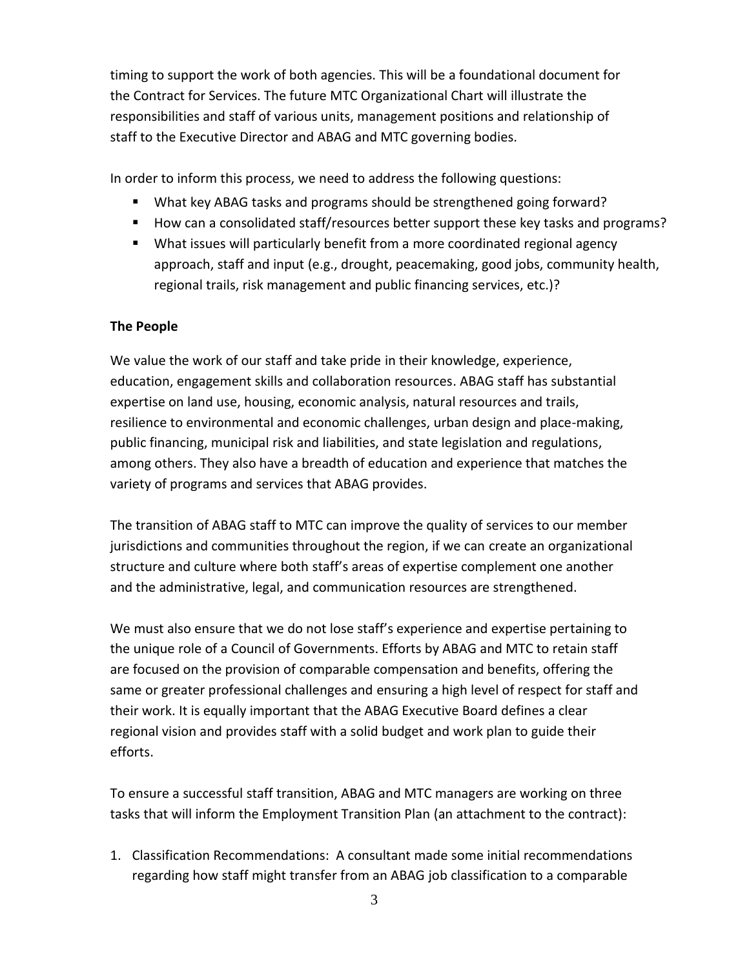timing to support the work of both agencies. This will be a foundational document for the Contract for Services. The future MTC Organizational Chart will illustrate the responsibilities and staff of various units, management positions and relationship of staff to the Executive Director and ABAG and MTC governing bodies.

In order to inform this process, we need to address the following questions:

- What key ABAG tasks and programs should be strengthened going forward?
- How can a consolidated staff/resources better support these key tasks and programs?
- What issues will particularly benefit from a more coordinated regional agency approach, staff and input (e.g., drought, peacemaking, good jobs, community health, regional trails, risk management and public financing services, etc.)?

#### **The People**

We value the work of our staff and take pride in their knowledge, experience, education, engagement skills and collaboration resources. ABAG staff has substantial expertise on land use, housing, economic analysis, natural resources and trails, resilience to environmental and economic challenges, urban design and place-making, public financing, municipal risk and liabilities, and state legislation and regulations, among others. They also have a breadth of education and experience that matches the variety of programs and services that ABAG provides.

The transition of ABAG staff to MTC can improve the quality of services to our member jurisdictions and communities throughout the region, if we can create an organizational structure and culture where both staff's areas of expertise complement one another and the administrative, legal, and communication resources are strengthened.

We must also ensure that we do not lose staff's experience and expertise pertaining to the unique role of a Council of Governments. Efforts by ABAG and MTC to retain staff are focused on the provision of comparable compensation and benefits, offering the same or greater professional challenges and ensuring a high level of respect for staff and their work. It is equally important that the ABAG Executive Board defines a clear regional vision and provides staff with a solid budget and work plan to guide their efforts.

To ensure a successful staff transition, ABAG and MTC managers are working on three tasks that will inform the Employment Transition Plan (an attachment to the contract):

1. Classification Recommendations: A consultant made some initial recommendations regarding how staff might transfer from an ABAG job classification to a comparable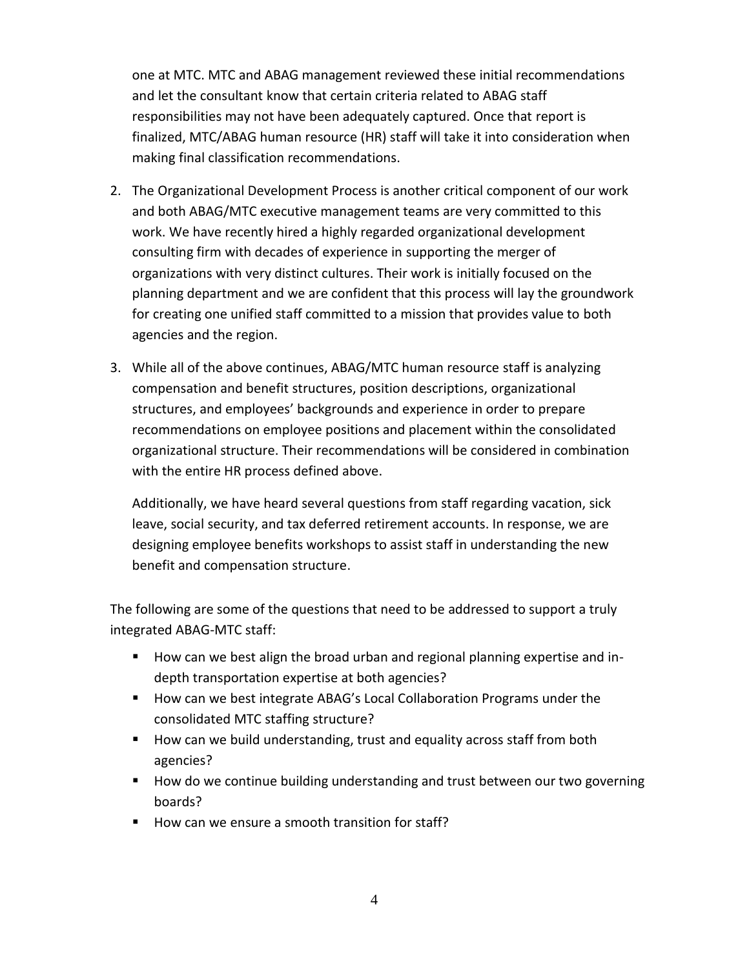one at MTC. MTC and ABAG management reviewed these initial recommendations and let the consultant know that certain criteria related to ABAG staff responsibilities may not have been adequately captured. Once that report is finalized, MTC/ABAG human resource (HR) staff will take it into consideration when making final classification recommendations.

- 2. The Organizational Development Process is another critical component of our work and both ABAG/MTC executive management teams are very committed to this work. We have recently hired a highly regarded organizational development consulting firm with decades of experience in supporting the merger of organizations with very distinct cultures. Their work is initially focused on the planning department and we are confident that this process will lay the groundwork for creating one unified staff committed to a mission that provides value to both agencies and the region.
- 3. While all of the above continues, ABAG/MTC human resource staff is analyzing compensation and benefit structures, position descriptions, organizational structures, and employees' backgrounds and experience in order to prepare recommendations on employee positions and placement within the consolidated organizational structure. Their recommendations will be considered in combination with the entire HR process defined above.

Additionally, we have heard several questions from staff regarding vacation, sick leave, social security, and tax deferred retirement accounts. In response, we are designing employee benefits workshops to assist staff in understanding the new benefit and compensation structure.

The following are some of the questions that need to be addressed to support a truly integrated ABAG-MTC staff:

- **How can we best align the broad urban and regional planning expertise and in**depth transportation expertise at both agencies?
- How can we best integrate ABAG's Local Collaboration Programs under the consolidated MTC staffing structure?
- How can we build understanding, trust and equality across staff from both agencies?
- **How do we continue building understanding and trust between our two governing** boards?
- How can we ensure a smooth transition for staff?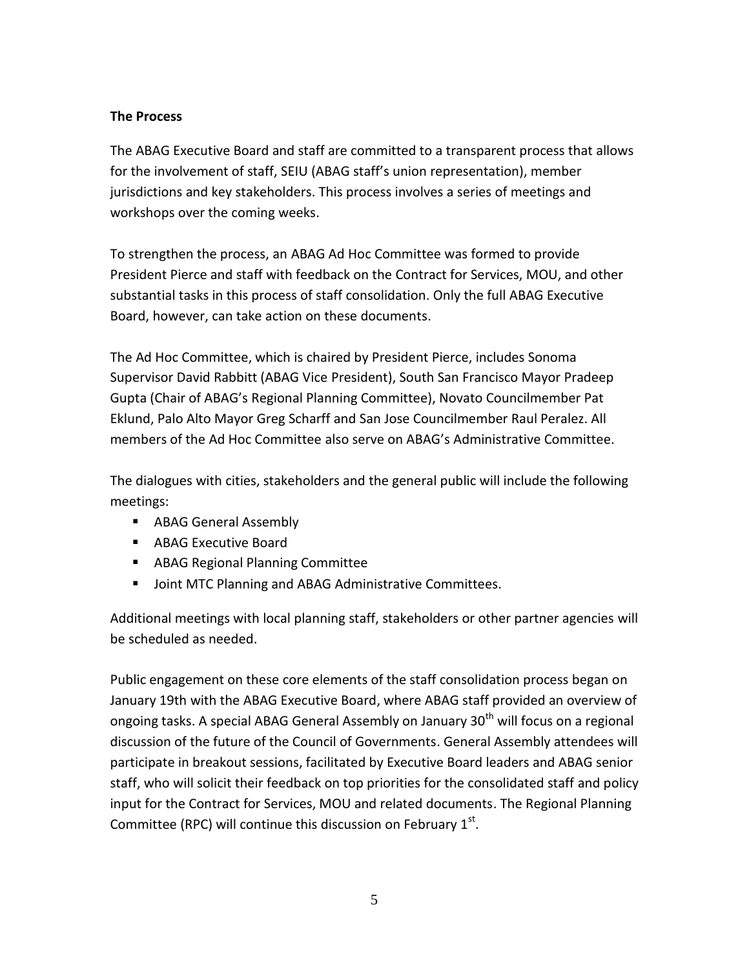### **The Process**

The ABAG Executive Board and staff are committed to a transparent process that allows for the involvement of staff, SEIU (ABAG staff's union representation), member jurisdictions and key stakeholders. This process involves a series of meetings and workshops over the coming weeks.

To strengthen the process, an ABAG Ad Hoc Committee was formed to provide President Pierce and staff with feedback on the Contract for Services, MOU, and other substantial tasks in this process of staff consolidation. Only the full ABAG Executive Board, however, can take action on these documents.

The Ad Hoc Committee, which is chaired by President Pierce, includes Sonoma Supervisor David Rabbitt (ABAG Vice President), South San Francisco Mayor Pradeep Gupta (Chair of ABAG's Regional Planning Committee), Novato Councilmember Pat Eklund, Palo Alto Mayor Greg Scharff and San Jose Councilmember Raul Peralez. All members of the Ad Hoc Committee also serve on ABAG's Administrative Committee.

The dialogues with cities, stakeholders and the general public will include the following meetings:

- **ABAG General Assembly**
- ABAG Executive Board
- **ABAG Regional Planning Committee**
- **Joint MTC Planning and ABAG Administrative Committees.**

Additional meetings with local planning staff, stakeholders or other partner agencies will be scheduled as needed.

Public engagement on these core elements of the staff consolidation process began on January 19th with the ABAG Executive Board, where ABAG staff provided an overview of ongoing tasks. A special ABAG General Assembly on January  $30<sup>th</sup>$  will focus on a regional discussion of the future of the Council of Governments. General Assembly attendees will participate in breakout sessions, facilitated by Executive Board leaders and ABAG senior staff, who will solicit their feedback on top priorities for the consolidated staff and policy input for the Contract for Services, MOU and related documents. The Regional Planning Committee (RPC) will continue this discussion on February  $1<sup>st</sup>$ .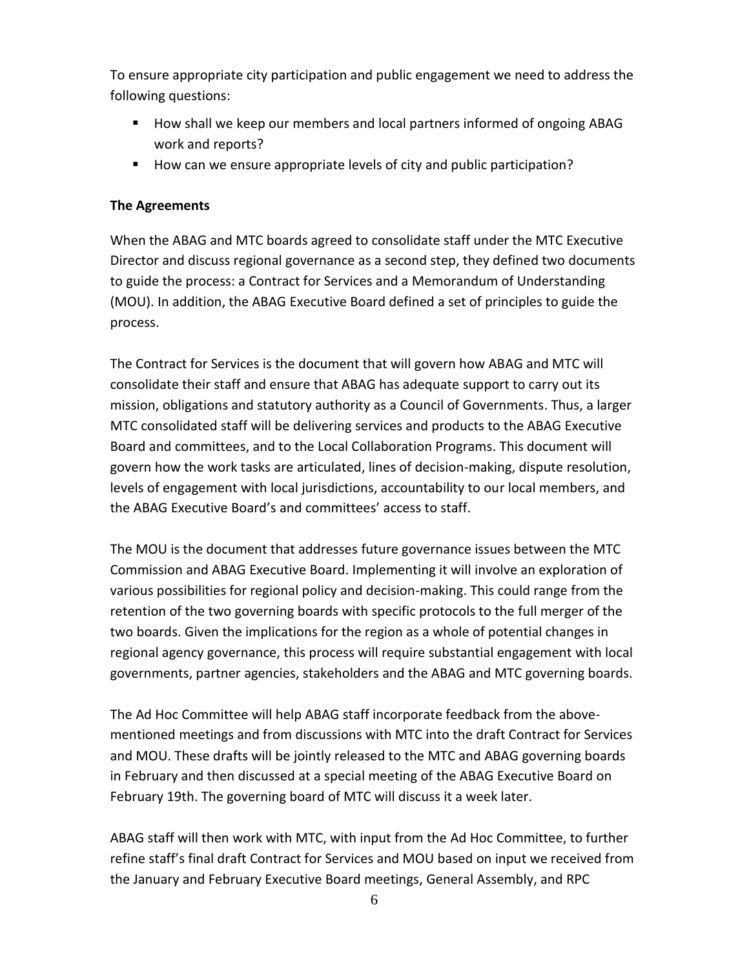To ensure appropriate city participation and public engagement we need to address the following questions:

- **How shall we keep our members and local partners informed of ongoing ABAG** work and reports?
- How can we ensure appropriate levels of city and public participation?

#### **The Agreements**

When the ABAG and MTC boards agreed to consolidate staff under the MTC Executive Director and discuss regional governance as a second step, they defined two documents to guide the process: a Contract for Services and a Memorandum of Understanding (MOU). In addition, the ABAG Executive Board defined a set of principles to guide the process.

The Contract for Services is the document that will govern how ABAG and MTC will consolidate their staff and ensure that ABAG has adequate support to carry out its mission, obligations and statutory authority as a Council of Governments. Thus, a larger MTC consolidated staff will be delivering services and products to the ABAG Executive Board and committees, and to the Local Collaboration Programs. This document will govern how the work tasks are articulated, lines of decision-making, dispute resolution, levels of engagement with local jurisdictions, accountability to our local members, and the ABAG Executive Board's and committees' access to staff.

The MOU is the document that addresses future governance issues between the MTC Commission and ABAG Executive Board. Implementing it will involve an exploration of various possibilities for regional policy and decision-making. This could range from the retention of the two governing boards with specific protocols to the full merger of the two boards. Given the implications for the region as a whole of potential changes in regional agency governance, this process will require substantial engagement with local governments, partner agencies, stakeholders and the ABAG and MTC governing boards.

The Ad Hoc Committee will help ABAG staff incorporate feedback from the abovementioned meetings and from discussions with MTC into the draft Contract for Services and MOU. These drafts will be jointly released to the MTC and ABAG governing boards in February and then discussed at a special meeting of the ABAG Executive Board on February 19th. The governing board of MTC will discuss it a week later.

ABAG staff will then work with MTC, with input from the Ad Hoc Committee, to further refine staff's final draft Contract for Services and MOU based on input we received from the January and February Executive Board meetings, General Assembly, and RPC